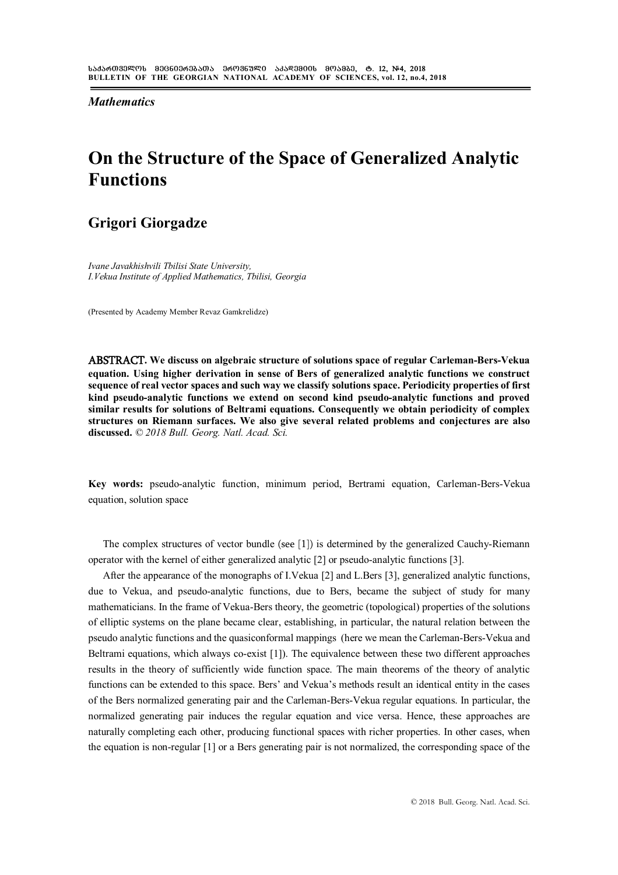*Mathematics*

# **On the Structure of the Space of Generalized Analytic Functions**

### **Grigori Giorgadze**

*Ivane Javakhishvili Tbilisi State University, I.Vekua Institute of Applied Mathematics, Tbilisi, Georgia*

(Presented by Academy Member Revaz Gamkrelidze)

**ABSTRACT. We discuss on algebraic structure of solutions space of regular Carleman-Bers-Vekua equation. Using higher derivation in sense of Bers of generalized analytic functions we construct sequence of real vector spaces and such way we classify solutions space. Periodicity properties of first kind pseudo-analytic functions we extend on second kind pseudo-analytic functions and proved similar results for solutions of Beltrami equations. Consequently we obtain periodicity of complex structures on Riemann surfaces. We also give several related problems and conjectures are also discussed.** *© 2018 Bull. Georg. Natl. Acad. Sci.*

**Key words:** pseudo-analytic function, minimum period, Bertrami equation, Carleman-Bers-Vekua equation, solution space

The complex structures of vector bundle (see [1]) is determined by the generalized Cauchy-Riemann operator with the kernel of either generalized analytic [2] or pseudo-analytic functions [3].

After the appearance of the monographs of I.Vekua [2] and L.Bers [3], generalized analytic functions, due to Vekua, and pseudo-analytic functions, due to Bers, became the subject of study for many mathematicians. In the frame of Vekua-Bers theory, the geometric (topological) properties of the solutions of elliptic systems on the plane became clear, establishing, in particular, the natural relation between the pseudo analytic functions and the quasiconformal mappings (here we mean the Carleman-Bers-Vekua and Beltrami equations, which always co-exist [1]). The equivalence between these two different approaches results in the theory of sufficiently wide function space. The main theorems of the theory of analytic functions can be extended to this space. Bers' and Vekua's methods result an identical entity in the cases of the Bers normalized generating pair and the Carleman-Bers-Vekua regular equations. In particular, the normalized generating pair induces the regular equation and vice versa. Hence, these approaches are naturally completing each other, producing functional spaces with richer properties. In other cases, when the equation is non-regular [1] or a Bers generating pair is not normalized, the corresponding space of the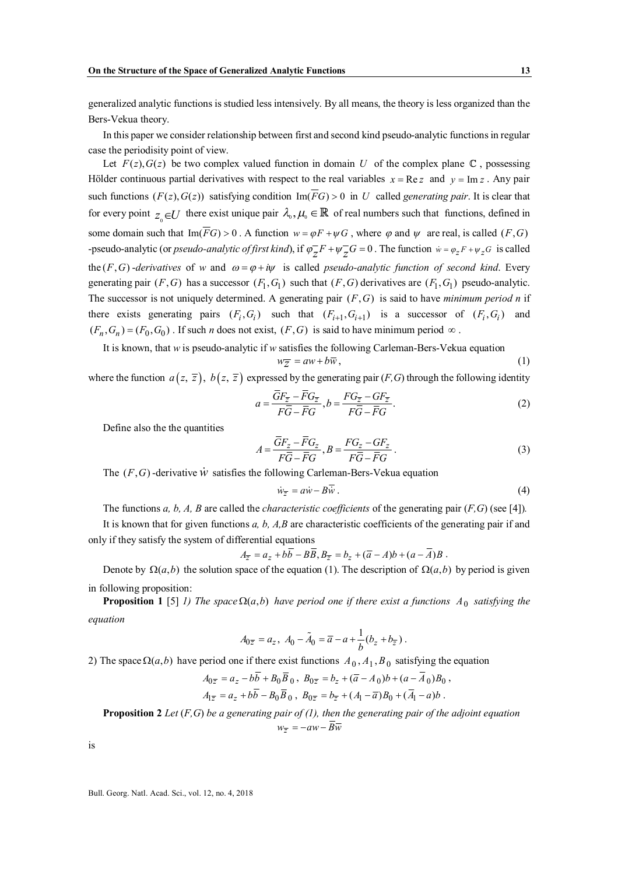generalized analytic functions is studied less intensively. By all means, the theory is less organized than the Bers-Vekua theory.

In this paper we consider relationship between first and second kind pseudo-analytic functions in regular case the periodisity point of view.

Let  $F(z)$ ,  $G(z)$  be two complex valued function in domain *U* of the complex plane  $\mathbb{C}$ , possessing Hölder continuous partial derivatives with respect to the real variables  $x = \text{Re } z$  and  $y = \text{Im } z$ . Any pair such functions  $(F(z), G(z))$  satisfying condition  $\text{Im}(\overline{F}G) > 0$  in *U* called *generating pair*. It is clear that for every point  $z_0 \in U$  there exist unique pair  $\lambda_0, \mu_0 \in \mathbb{R}$  of real numbers such that functions, defined in some domain such that  $\text{Im}(\overline{FG}) > 0$ . A function  $w = \varphi F + \psi G$ , where  $\varphi$  and  $\psi$  are real, is called  $(F, G)$ -pseudo-analytic (or *pseudo-analytic of first kind*), if  $\varphi_Z^F F + \psi_Z^G G = 0$ . The function  $\dot{w} = \varphi_Z^F + \psi_Z^G G$  is called the  $(F, G)$ -*derivatives* of *w* and  $\omega = \varphi + i\psi$  is called *pseudo-analytic function of second kind*. Every generating pair  $(F, G)$  has a successor  $(F_1, G_1)$  such that  $(F, G)$  derivatives are  $(F_1, G_1)$  pseudo-analytic. The successor is not uniquely determined. A generating pair  $(F, G)$  is said to have *minimum period n* if there exists generating pairs  $(F_i, G_i)$  such that  $(F_{i+1}, G_{i+1})$  is a successor of  $(F_i, G_i)$  and  $(F_n, G_n) = (F_0, G_0)$ . If such *n* does not exist,  $(F, G)$  is said to have minimum period  $\infty$ .

It is known, that *w* is pseudo-analytic if *w* satisfies the following Carleman-Bers-Vekua equation  $w_{\overline{z}} = aw + b\overline{w}$ , (1)

where the function  $a(z, \overline{z})$ ,  $b(z, \overline{z})$  expressed by the generating pair (*F*, *G*) through the following identity

$$
a = \frac{\overline{GF}_{\overline{z}} - \overline{FG}_{\overline{z}}}{F\overline{G} - \overline{FG}}, b = \frac{FG_{\overline{z}} - GF_{\overline{z}}}{F\overline{G} - \overline{FG}}.
$$
 (2)

Define also the the quantities

$$
A = \frac{\overline{G}F_z - \overline{F}G_z}{F\overline{G} - \overline{F}G}, B = \frac{FG_z - GF_z}{F\overline{G} - \overline{F}G}.
$$
\n(3)

The  $(F, G)$ -derivative  $\dot{W}$  satisfies the following Carleman-Bers-Vekua equation

$$
\dot{w}_{\overline{z}} = a\dot{w} - B\dot{w} \,. \tag{4}
$$

The functions *a, b, A, B* are called the *characteristic coefficients* of the generating pair (*F,G*) (see [4])*.*

It is known that for given functions *a, b, A,B* are characteristic coefficients of the generating pair if and only if they satisfy the system of differential equations

$$
A_{\overline{z}} = a_z + b\overline{b} - B\overline{B}, B_{\overline{z}} = b_z + (\overline{a} - A)b + (a - \overline{A})B.
$$

Denote by  $\Omega(a, b)$  the solution space of the equation (1). The description of  $\Omega(a, b)$  by period is given in following proposition:

**Proposition 1** [5] *1) The space*  $\Omega(a, b)$  *have period one if there exist a functions*  $A_0$  *satisfying the equation*

$$
A_{0\overline{z}} = a_z, \ A_0 - \tilde{A}_0 = \overline{a} - a + \frac{1}{b}(b_z + b_{\overline{z}}).
$$

2) The space  $\Omega(a, b)$  have period one if there exist functions  $A_0, A_1, B_0$  satisfying the equation

$$
A_{0\overline{z}} = a_z - b\overline{b} + B_0 \overline{B}_0, B_{0\overline{z}} = b_z + (\overline{a} - A_0)b + (a - \overline{A}_0)B_0,
$$
  

$$
A_{1\overline{z}} = a_z + b\overline{b} - B_0 \overline{B}_0, B_{0\overline{z}} = b_{\overline{z}} + (A_1 - \overline{a})B_0 + (\overline{A}_1 - a)b.
$$

**Proposition 2** *Let* (*F,G*) *be a generating pair of (1), then the generating pair of the adjoint equation*  $w_{\overline{z}} = -aw - \overline{B} \overline{w}$ 

is

Bull. Georg. Natl. Acad. Sci., vol. 12, no. 4, 2018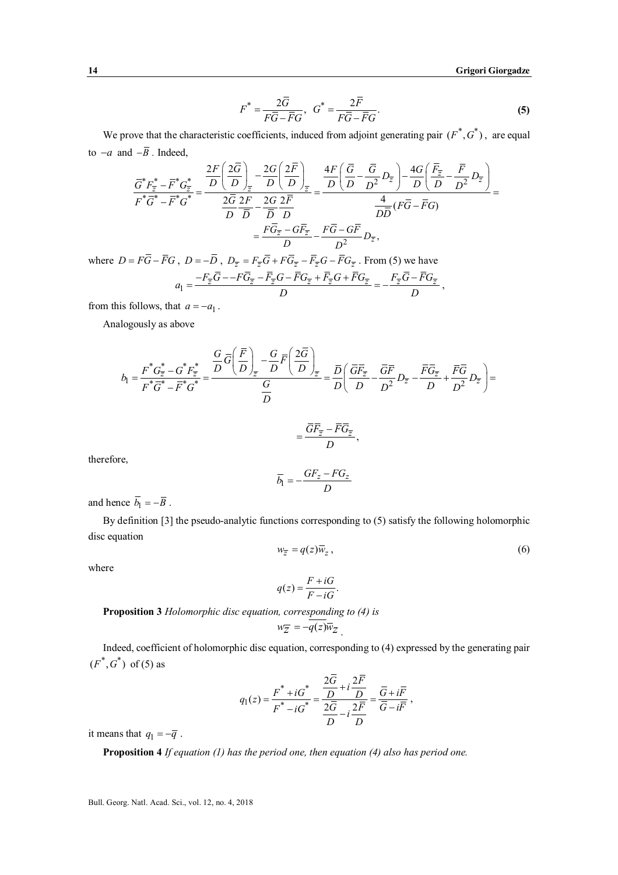$$
F^* = \frac{2\overline{G}}{F\overline{G} - \overline{F}G}, \quad G^* = \frac{2\overline{F}}{F\overline{G} - \overline{F}G}.
$$
 (5)

We prove that the characteristic coefficients, induced from adjoint generating pair  $(F^*, G^*)$ , are equal to  $-a$  and  $-\overline{B}$ . Indeed,

$$
\frac{\overline{G}^*F_{\overline{z}}^* - \overline{F}^*G_{\overline{z}}^*}{F^*\overline{G}^* - \overline{F}^*G^*} = \frac{\frac{2F}{D} \left(\frac{2\overline{G}}{D}\right)_{\overline{z}} - \frac{2G}{D} \left(\frac{2\overline{F}}{D}\right)_{\overline{z}}}{\frac{2\overline{G}}{D} \frac{2F}{D} - \frac{2G}{D} \frac{2\overline{F}}{D}} = \frac{\frac{4F}{D} \left(\frac{\overline{G}}{D} - \frac{\overline{G}}{D^2} D_{\overline{z}}\right) - \frac{4G}{D} \left(\frac{\overline{F}_{\overline{z}}}{D} - \frac{\overline{F}}{D^2} D_{\overline{z}}\right)}{\frac{4}{D\overline{D}} (F\overline{G} - \overline{F}G)} = \frac{\overline{FG}_{\overline{z}} - \overline{GF}_{\overline{z}}}{D} - \frac{F\overline{G} - \overline{GF}}{D^2} D_{\overline{z}},
$$

where  $D = F\overline{G} - \overline{F}G$ ,  $D = -\overline{D}$ ,  $D_{\overline{z}} = F_{\overline{z}}\overline{G} + F\overline{G}_{\overline{z}} - \overline{F}_{\overline{z}}G - \overline{F}G_{\overline{z}}$ . From (5) we have  $a_1 = \frac{-F_{\overline{z}}G - -FG_{\overline{z}} - F_{\overline{z}}G - FG_{\overline{z}} + F_{\overline{z}}G + FG_{\overline{z}}}{D} = -\frac{F_{\overline{z}}G - FG_{\overline{z}}}{D}$  $=\frac{-F_{\overline{z}}G--FG_{\overline{z}}-F_{\overline{z}}G-FG_{\overline{z}}+F_{\overline{z}}G+FG_{\overline{z}}}{E}=-\frac{F_{\overline{z}}G-FG_{\overline{z}}}{E},$ 

from this follows, that  $a = -a_1$ .

Analogously as above

$$
b_1 = \frac{F^* G_{\overline{z}}^* - G^* F_{\overline{z}}^*}{F^* \overline{G}^* - \overline{F}^* G^*} = \frac{\frac{G}{D} \overline{G} \left(\frac{\overline{F}}{D}\right)_{\overline{z}} - \frac{G}{D} \overline{F} \left(\frac{2\overline{G}}{D}\right)_{\overline{z}}}{\frac{G}{D}} = \frac{\overline{D}}{D} \left(\frac{\overline{G} \overline{F}_{\overline{z}}}{D} - \frac{\overline{G} \overline{F}}{D^2} D_{\overline{z}} - \frac{\overline{F} \overline{G}_{\overline{z}}}{D} + \frac{\overline{F} \overline{G}}{D^2} D_{\overline{z}}\right) =
$$

$$
= \frac{\overline{G} \overline{F}_{\overline{z}} - \overline{F} \overline{G}_{\overline{z}}}{D},
$$
re,

therefo

$$
\overline{b}_1 = -\frac{GF_z - FG_z}{D}
$$

and hence  $\overline{b_1} = -\overline{B}$ .

By definition [3] the pseudo-analytic functions corresponding to (5) satisfy the following holomorphic disc equation

$$
w_{\overline{z}} = q(z)\overline{w}_z, \tag{6}
$$

where

$$
q(z) = \frac{F + iG}{F - iG}.
$$

**Proposition 3** *Holomorphic disc equation, corresponding to (4) is*

$$
w_{\overline{Z}} = -q(z)\overline{w}_Z.
$$

Indeed, coefficient of holomorphic disc equation, corresponding to (4) expressed by the generating pair  $(F^*, G^*)$  of (5) as

$$
q_1(z) = \frac{F^* + iG^*}{F^* - iG^*} = \frac{\frac{2G}{D} + i\frac{2F}{D}}{\frac{2\overline{G}}{D} - i\frac{2\overline{F}}{D}} = \frac{\overline{G} + i\overline{F}}{\overline{G} - i\overline{F}},
$$

it means that  $q_1 = -\overline{q}$ .

**Proposition 4** *If equation (1) has the period one, then equation (4) also has period one.*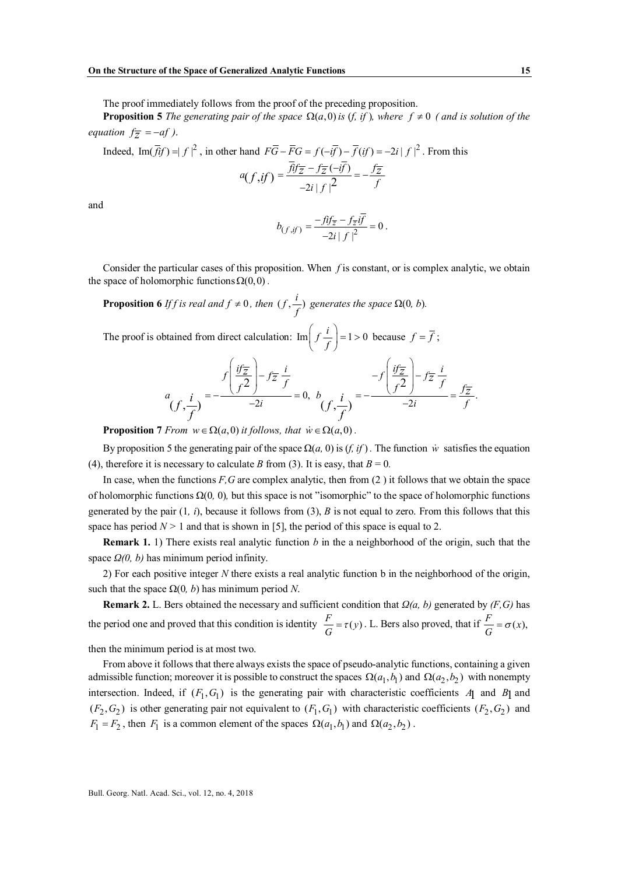The proof immediately follows from the proof of the preceding proposition.

**Proposition 5** *The generating pair of the space*  $\Omega(a,0)$  *is (f, if ), where f*  $\neq 0$  *( and is solution of the equation*  $f_{\overline{z}} = -af$  *).* 

Indeed,  $\text{Im}(\vec{f} \cdot \vec{f}) = |f|^2$ , in other hand  $F\vec{G} - \vec{F}G = f(-i\vec{f}) - \vec{f}(i f) = -2i |f|^2$ . From this

$$
a(f, if) = \frac{\overline{f}if\overline{z} - f\overline{z}(-i\overline{f})}{-2i|f|^2} = -\frac{f\overline{z}}{f}
$$

and

$$
b_{(f, if)} = \frac{-f \hat{i} f_{\overline{z}} - f_{\overline{z}} i f}{-2i |f|^2} = 0.
$$

Consider the particular cases of this proposition. When *f* is constant, or is complex analytic, we obtain the space of holomorphic functions  $\Omega(0,0)$ .

**Proposition 6** *If f is real and*  $f \neq 0$ *, then*  $(f, \frac{i}{f})$  generates the space  $\Omega(0, b)$ *.* 

The proof is obtained from direct calculation:  $\text{Im}\left(f\frac{i}{f}\right) = 1 > 0$ because  $f = f$ ;

$$
a_{\left(f,\frac{i}{f}\right)} = -\frac{f\left(\frac{i f_{\overline{z}}}{f^2}\right) - f_{\overline{z}}\frac{i}{f}}{-2i} = 0, \ b_{\left(f,\frac{i}{f}\right)} = -\frac{f\left(\frac{i f_{\overline{z}}}{f^2}\right) - f_{\overline{z}}\frac{i}{f}}{-2i} = \frac{f_{\overline{z}}}{f}.
$$

**Proposition** 7 *From*  $w \in \Omega(a,0)$  *it follows, that*  $\dot{w} \in \Omega(a,0)$ .

By proposition 5 the generating pair of the space  $\Omega(a, 0)$  is  $(f, if)$ . The function *w* satisfies the equation (4), therefore it is necessary to calculate *B* from (3). It is easy, that  $B = 0$ .

In case, when the functions *F,G* are complex analytic, then from (2 ) it follows that we obtain the space of holomorphic functions Ω(0*,* 0)*,* but this space is not "isomorphic" to the space of holomorphic functions generated by the pair (1*, i*), because it follows from (3), *B* is not equal to zero. From this follows that this space has period  $N > 1$  and that is shown in [5], the period of this space is equal to 2.

**Remark 1.** 1) There exists real analytic function *b* in the a neighborhood of the origin, such that the space *Ω(0, b)* has minimum period infinity.

2) For each positive integer *N* there exists a real analytic function b in the neighborhood of the origin, such that the space  $Ω(0, b)$  has minimum period *N*.

**Remark 2.** L. Bers obtained the necessary and sufficient condition that *Ω(a, b)* generated by *(F,G)* has the period one and proved that this condition is identity  $\frac{F}{G} = \tau(y)$ . L. Bers also proved, that if  $\frac{F}{G} = \sigma(x)$ ,

then the minimum period is at most two.

From above it follows that there always exists the space of pseudo-analytic functions, containing a given admissible function; moreover it is possible to construct the spaces  $\Omega(a_1, b_1)$  and  $\Omega(a_2, b_2)$  with nonempty intersection. Indeed, if  $(F_1, G_1)$  is the generating pair with characteristic coefficients *A*1 and *B*1 and  $(F_2, G_2)$  is other generating pair not equivalent to  $(F_1, G_1)$  with characteristic coefficients  $(F_2, G_2)$  and  $F_1 = F_2$ , then  $F_1$  is a common element of the spaces  $\Omega(a_1, b_1)$  and  $\Omega(a_2, b_2)$ .